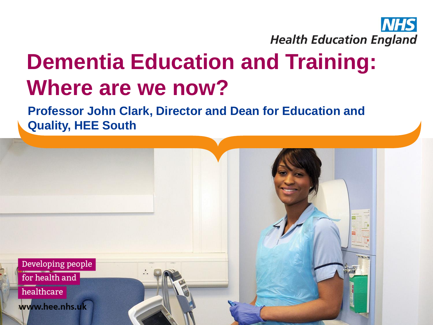

## **Dementia Education and Training: Where are we now?**

**Professor John Clark, Director and Dean for Education and Quality, HEE South**

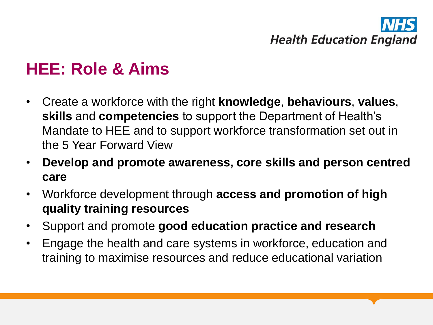# **Health Education England**

### **HEE: Role & Aims**

- Create a workforce with the right **knowledge**, **behaviours**, **values**, **skills** and **competencies** to support the Department of Health's Mandate to HEE and to support workforce transformation set out in the 5 Year Forward View
- **Develop and promote awareness, core skills and person centred care**
- Workforce development through **access and promotion of high quality training resources**
- Support and promote **good education practice and research**
- Engage the health and care systems in workforce, education and training to maximise resources and reduce educational variation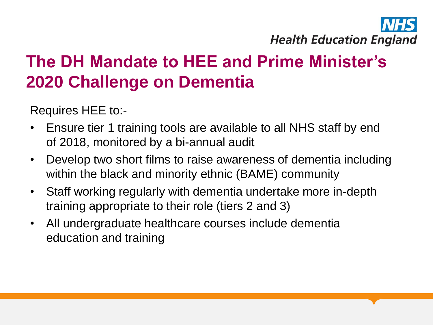

## **The DH Mandate to HEE and Prime Minister's 2020 Challenge on Dementia**

Requires HEE to:-

- Ensure tier 1 training tools are available to all NHS staff by end of 2018, monitored by a bi-annual audit
- Develop two short films to raise awareness of dementia including within the black and minority ethnic (BAME) community
- Staff working regularly with dementia undertake more in-depth training appropriate to their role (tiers 2 and 3)
- All undergraduate healthcare courses include dementia education and training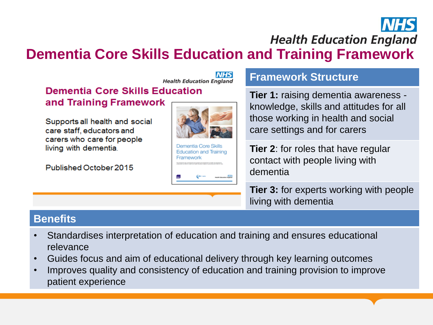

**Health Education England** 

**Dementia Core Skills Education and Training Framework**



living with dementia

#### **Benefits**

- Standardises interpretation of education and training and ensures educational relevance
- Guides focus and aim of educational delivery through key learning outcomes
- Improves quality and consistency of education and training provision to improve patient experience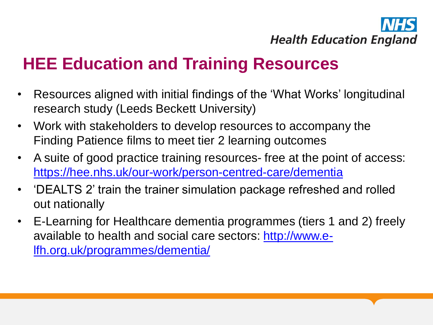

### **HEE Education and Training Resources**

- Resources aligned with initial findings of the 'What Works' longitudinal research study (Leeds Beckett University)
- Work with stakeholders to develop resources to accompany the Finding Patience films to meet tier 2 learning outcomes
- A suite of good practice training resources- free at the point of access: <https://hee.nhs.uk/our-work/person-centred-care/dementia>
- 'DEALTS 2' train the trainer simulation package refreshed and rolled out nationally
- E-Learning for Healthcare dementia programmes (tiers 1 and 2) freely available to health and social care sectors: [http://www.e](http://www.e-lfh.org.uk/programmes/dementia/)[lfh.org.uk/programmes/dementia/](http://www.e-lfh.org.uk/programmes/dementia/)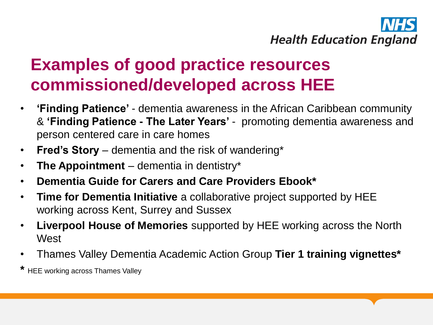

### **Examples of good practice resources commissioned/developed across HEE**

- **'Finding Patience'**  dementia awareness in the African Caribbean community & **'Finding Patience - The Later Years'** - promoting dementia awareness and person centered care in care homes
- **Fred's Story**  dementia and the risk of wandering\*
- **The Appointment**  dementia in dentistry\*
- **Dementia Guide for Carers and Care Providers Ebook\***
- **Time for Dementia Initiative** a collaborative project supported by HEE working across Kent, Surrey and Sussex
- **Liverpool House of Memories** supported by HEE working across the North **West**
- Thames Valley Dementia Academic Action Group **Tier 1 training vignettes\***

**HEE working across Thames Valley**